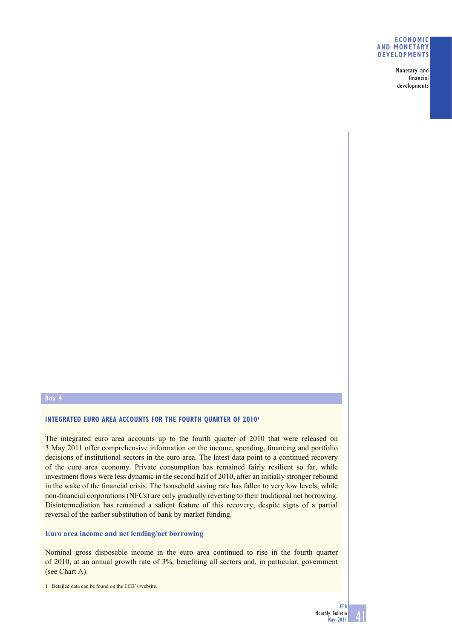#### **ECONOMIC AND MONETARY DEVELOPMENTS**

Monetary and financial developments

# **Box 4**

#### **INTEGRATED EURO AREA ACCOUNTS FOR THE FOURTH QUARTER OF 2010<sup>1</sup>**

The integrated euro area accounts up to the fourth quarter of 2010 that were released on 3 May 2011 offer comprehensive information on the income, spending, financing and portfolio decisions of institutional sectors in the euro area. The latest data point to a continued recovery of the euro area economy. Private consumption has remained fairly resilient so far, while investment flows were less dynamic in the second half of 2010, after an initially stronger rebound in the wake of the financial crisis. The household saving rate has fallen to very low levels, while non-financial corporations (NFCs) are only gradually reverting to their traditional net borrowing. Disintermediation has remained a salient feature of this recovery, despite signs of a partial reversal of the earlier substitution of bank by market funding.

### **Euro area income and net lending/net borrowing**

Nominal gross disposable income in the euro area continued to rise in the fourth quarter of 2010, at an annual growth rate of 3%, benefiting all sectors and, in particular, government (see Chart A).

41

<sup>1</sup> Detailed data can be found on the ECB's website.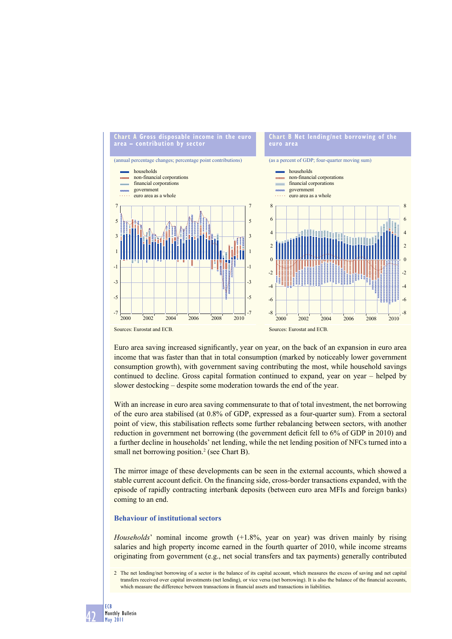

Euro area saving increased significantly, year on year, on the back of an expansion in euro area income that was faster than that in total consumption (marked by noticeably lower government consumption growth), with government saving contributing the most, while household savings continued to decline. Gross capital formation continued to expand, year on year – helped by slower destocking – despite some moderation towards the end of the year.

With an increase in euro area saving commensurate to that of total investment, the net borrowing of the euro area stabilised (at 0.8% of GDP, expressed as a four-quarter sum). From a sectoral point of view, this stabilisation reflects some further rebalancing between sectors, with another reduction in government net borrowing (the government deficit fell to 6% of GDP in 2010) and a further decline in households' net lending, while the net lending position of NFCs turned into a small net borrowing position.<sup>2</sup> (see Chart B).

The mirror image of these developments can be seen in the external accounts, which showed a stable current account deficit. On the financing side, cross-border transactions expanded, with the episode of rapidly contracting interbank deposits (between euro area MFIs and foreign banks) coming to an end.

## **Behaviour of institutional sectors**

*Households*' nominal income growth (+1.8%, year on year) was driven mainly by rising salaries and high property income earned in the fourth quarter of 2010, while income streams originating from government (e.g., net social transfers and tax payments) generally contributed

<sup>2</sup> The net lending/net borrowing of a sector is the balance of its capital account, which measures the excess of saving and net capital transfers received over capital investments (net lending), or vice versa (net borrowing). It is also the balance of the financial accounts, which measure the difference between transactions in financial assets and transactions in liabilities.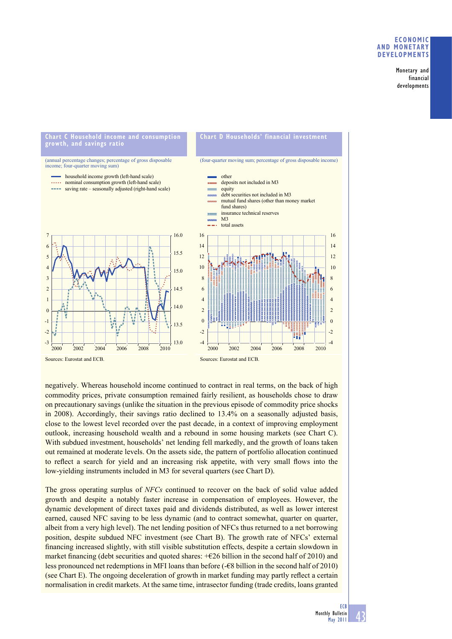#### **ECONOMIC AND MONETARY DEVELOPMENTS**

Monetary and financial developments



negatively. Whereas household income continued to contract in real terms, on the back of high commodity prices, private consumption remained fairly resilient, as households chose to draw on precautionary savings (unlike the situation in the previous episode of commodity price shocks in 2008). Accordingly, their savings ratio declined to 13.4% on a seasonally adjusted basis, close to the lowest level recorded over the past decade, in a context of improving employment outlook, increasing household wealth and a rebound in some housing markets (see Chart C). With subdued investment, households' net lending fell markedly, and the growth of loans taken out remained at moderate levels. On the assets side, the pattern of portfolio allocation continued to reflect a search for yield and an increasing risk appetite, with very small flows into the low-yielding instruments included in M3 for several quarters (see Chart D).

The gross operating surplus of *NFCs* continued to recover on the back of solid value added growth and despite a notably faster increase in compensation of employees. However, the dynamic development of direct taxes paid and dividends distributed, as well as lower interest earned, caused NFC saving to be less dynamic (and to contract somewhat, quarter on quarter, albeit from a very high level). The net lending position of NFCs thus returned to a net borrowing position, despite subdued NFC investment (see Chart B). The growth rate of NFCs' external financing increased slightly, with still visible substitution effects, despite a certain slowdown in market financing (debt securities and quoted shares:  $+$ €26 billion in the second half of 2010) and less pronounced net redemptions in MFI loans than before (-€8 billion in the second half of 2010) (see Chart E). The ongoing deceleration of growth in market funding may partly reflect a certain normalisation in credit markets. At the same time, intrasector funding (trade credits, loans granted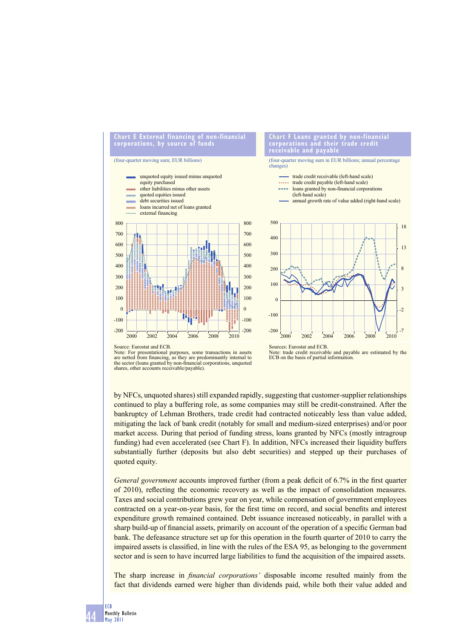

Source: Eurostat and ECB.

Sources: Eurostat and ECB.

by NFCs, unquoted shares) still expanded rapidly, suggesting that customer-supplier relationships continued to play a buffering role, as some companies may still be credit-constrained. After the bankruptcy of Lehman Brothers, trade credit had contracted noticeably less than value added, mitigating the lack of bank credit (notably for small and medium-sized enterprises) and/or poor market access. During that period of funding stress, loans granted by NFCs (mostly intragroup funding) had even accelerated (see Chart F). In addition, NFCs increased their liquidity buffers substantially further (deposits but also debt securities) and stepped up their purchases of quoted equity.

*General government* accounts improved further (from a peak deficit of 6.7% in the first quarter of 2010), reflecting the economic recovery as well as the impact of consolidation measures. Taxes and social contributions grew year on year, while compensation of government employees contracted on a year-on-year basis, for the first time on record, and social benefits and interest expenditure growth remained contained. Debt issuance increased noticeably, in parallel with a sharp build-up of financial assets, primarily on account of the operation of a specific German bad bank. The defeasance structure set up for this operation in the fourth quarter of 2010 to carry the impaired assets is classified, in line with the rules of the ESA 95, as belonging to the government sector and is seen to have incurred large liabilities to fund the acquisition of the impaired assets.

The sharp increase in *financial corporations'* disposable income resulted mainly from the fact that dividends earned were higher than dividends paid, while both their value added and

Note: For presentational purposes, some transactions in assets are netted from financing, as they are predominantly internal to the sector (loans granted by non-financial corporations, unquoted shares, other accounts receivable/payable).

Note: trade credit receivable and payable are estimated by the ECB on the basis of partial information.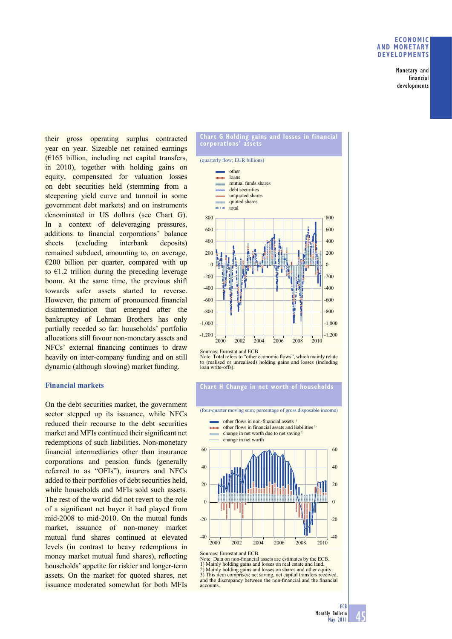#### **ECONOMIC AND MONETARY DEVELOPMENTS**

Monetary and financial developments

their gross operating surplus contracted year on year. Sizeable net retained earnings  $(E165)$  billion, including net capital transfers, in 2010), together with holding gains on equity, compensated for valuation losses on debt securities held (stemming from a steepening yield curve and turmoil in some government debt markets) and on instruments denominated in US dollars (see Chart G). In a context of deleveraging pressures, additions to financial corporations' balance sheets (excluding interbank deposits) remained subdued, amounting to, on average,  $\epsilon$ 200 billion per quarter, compared with up to  $\epsilon$ 1.2 trillion during the preceding leverage boom. At the same time, the previous shift towards safer assets started to reverse. However, the pattern of pronounced financial disintermediation that emerged after the bankruptcy of Lehman Brothers has only partially receded so far: households' portfolio allocations still favour non-monetary assets and  $NFCs'$  external financing continues to draw heavily on inter-company funding and on still dynamic (although slowing) market funding.

# **Financial markets**

On the debt securities market, the government sector stepped up its issuance, while NFCs reduced their recourse to the debt securities market and MFIs continued their significant net redemptions of such liabilities. Non-monetary financial intermediaries other than insurance corporations and pension funds (generally referred to as "OFIs"), insurers and NFCs added to their portfolios of debt securities held, while households and MFIs sold such assets. The rest of the world did not revert to the role of a significant net buyer it had played from mid-2008 to mid-2010. On the mutual funds market, issuance of non-money market mutual fund shares continued at elevated levels (in contrast to heavy redemptions in money market mutual fund shares), reflecting households' appetite for riskier and longer-term assets. On the market for quoted shares, net issuance moderated somewhat for both MFIs

#### **Chart G Holding gains and losses in financial corporations' assets**



Sources: Eurostat and ECB.

Note: Total refers to "other economic flows", which mainly relate to (realised or unrealised) holding gains and losses (including loan write-offs).

## **Chart H Change in net worth of households**

(four-quarter moving sum; percentage of gross disposable income)

other flows in non-financial assets 1) other flows in financial assets and liabilities<sup>2)</sup> mond change in net worth due to net saving 3) change in net worth



Sources: Eurostat and ECB.

Note: Data on non-financial assets are estimates by the ECB. 1) Mainly holding gains and losses on real estate and land. 2) Mainly holding gains and losses on shares and other equity. 3) This item comprises: net saving, net capital transfers received, and the discrepancy between the non-financial and the financial accounts.